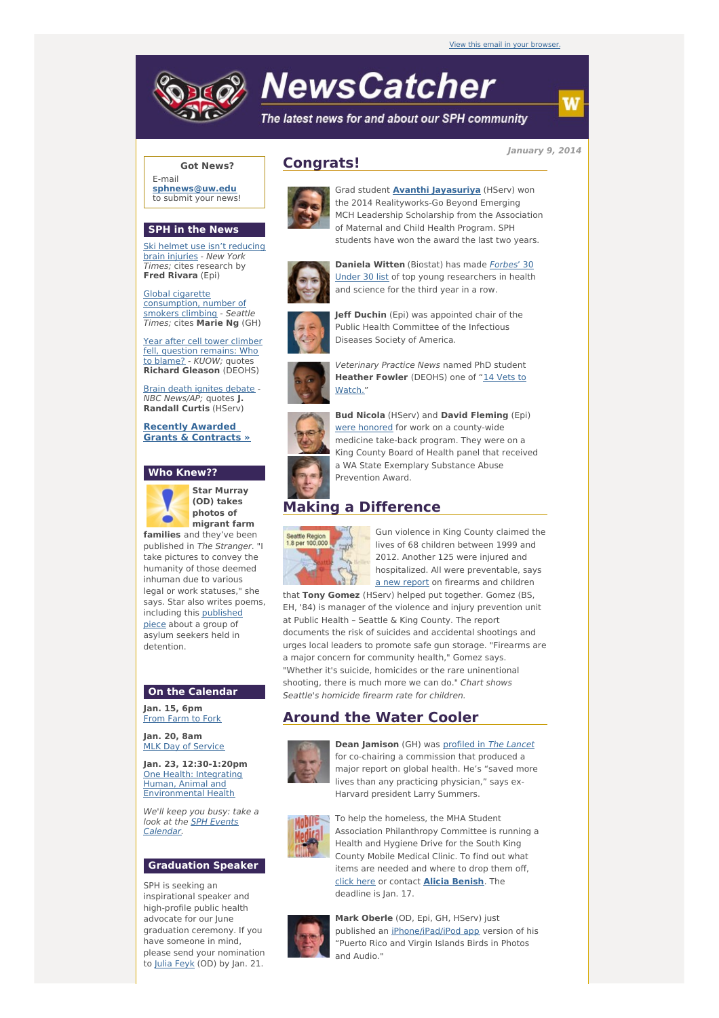

# **NewsCatcher**

The latest news for and about our SPH community

**January 9, 2014**

**Got News?** E-mail

**[sphnews@uw.edu](mailto:sphnews@uw.edu)** to submit your news!

#### **SPH in the News**

Ski helmet use isn't [reducing](http://engage.washington.edu/site/R?i=ior0E6Kb9zyibntjPBEh1g) brain injuries - New York Times; cites research by **Fred Rivara** (Epi)

Global cigarette [consumption,](http://engage.washington.edu/site/R?i=DNukUWzEhJNfZjlDYYEqsA) number of smokers climbing - Seattle Times; cites **Marie Ng** (GH)

Year after cell tower climber fell, question [remains:](http://engage.washington.edu/site/R?i=76J9mBbf-kur6T8TVQZ7wg) Who to blame? - KUOW; quotes **Richard Gleason** (DEOHS)

Brain death ignites [debate](http://engage.washington.edu/site/R?i=qQCDLwI7dWPMh5JcyLlHFQ) - NBC News/AP; quotes **J. Randall Curtis** (HServ)

**Recently Awarded Grants & [Contracts](http://engage.washington.edu/site/R?i=GzaRQoE6v_IiaEGzQ_NYqg) »**

#### **Who Knew??**



**Star Murray (OD) takes photos of migrant farm**

**families** and they've been published in The Stranger. "I take pictures to convey the humanity of those deemed inhuman due to various legal or work statuses," she says. Star also writes poems, including this [published](http://engage.washington.edu/site/R?i=WgLrDLHcHSyIBA06XLHrLA) piece about a group of asylum seekers held in detention.

#### **On the Calendar**

**Jan. 15, 6pm** From [Farm](http://engage.washington.edu/site/R?i=MrYFkA1OhADvdYlXSOpkBw) to Fork

**Jan. 20, 8am MLK Day of [Service](http://engage.washington.edu/site/R?i=6zjVdEEMPduTOegaNYnWug)** 

**Jan. 23, 12:30-1:20pm** One Health: Integrating Human, Animal and [Environmental](http://engage.washington.edu/site/R?i=8gs77tKuW-f49neDFUlEeg) Health

We'll keep you busy: take a look at the **SPH Events** [Calendar.](http://engage.washington.edu/site/R?i=UQk9w9btwBG1HuyqF5n4fg)

### **Graduation Speaker**

SPH is seeking an inspirational speaker and high-profile public health advocate for our June graduation ceremony. If you have someone in mind, please send your nomination to Julia [Feyk](mailto:sphosadm@uw.edu) (OD) by Jan. 21.



**Congrats!**

Grad student **Avanthi [Jayasuriya](http://engage.washington.edu/site/R?i=VsZ4jsD8FJpPCrPOd6M9qA)** (HServ) won the 2014 Realityworks-Go Beyond Emerging MCH Leadership Scholarship from the Association of Maternal and Child Health Program. SPH students have won the award the last two years.



**Daniela Witten** (Biostat) has made **Forbes' 30** Under 30 list of top young [researchers](http://engage.washington.edu/site/R?i=QqLWMDS7H2IzHC3F4R5Cgw) in health and science for the third year in a row.



**Jeff Duchin** (Epi) was appointed chair of the Public Health Committee of the Infectious Diseases Society of America.



Veterinary Practice News named PhD student **[Heather](http://engage.washington.edu/site/R?i=U3xU2MV-6VKibf8tK3IaRg) Fowler** (DEOHS) one of "14 Vets to Watch."



**Bud Nicola** (HServ) and **David Fleming** (Epi) were [honored](http://engage.washington.edu/site/R?i=8E6QDvEfwqMv80bIxOqLug) for work on a county-wide medicine take-back program. They were on a King County Board of Health panel that received a WA State Exemplary Substance Abuse Prevention Award.

## **Making a Difference**



Gun violence in King County claimed the lives of 68 children between 1999 and 2012. Another 125 were injured and hospitalized. All were preventable, says a new [report](http://engage.washington.edu/site/R?i=3O-sBAYgGvenPkk_eC7N5g) on firearms and children

that **Tony Gomez** (HServ) helped put together. Gomez (BS, EH, '84) is manager of the violence and injury prevention unit at Public Health – Seattle & King County. The report documents the risk of suicides and accidental shootings and urges local leaders to promote safe gun storage. "Firearms are a major concern for community health," Gomez says. "Whether it's suicide, homicides or the rare uninentional shooting, there is much more we can do." Chart shows Seattle's homicide firearm rate for children.

## **Around the Water Cooler**



**Dean Jamison** (GH) was [profiled](http://engage.washington.edu/site/R?i=REaJ8to3P8RY9J6q851JNA) in The Lancet for co-chairing a commission that produced a major report on global health. He's "saved more lives than any practicing physician," says ex-Harvard president Larry Summers.



To help the homeless, the MHA Student Association Philanthropy Committee is running a Health and Hygiene Drive for the South King County Mobile Medical Clinic. To find out what items are needed and where to drop them off, [click](http://engage.washington.edu/site/R?i=dTy2aI6Tzp8cLQuG_rHitw) here or contact **Alicia [Benish](mailto:benisa@uw.edu)**. The deadline is Jan. 17.



**Mark Oberle** (OD, Epi, GH, HServ) just published an [iPhone/iPad/iPod](http://engage.washington.edu/site/R?i=j_Hk_QuNCciG9fBJfrPEVQ) app version of his "Puerto Rico and Virgin Islands Birds in Photos and Audio."